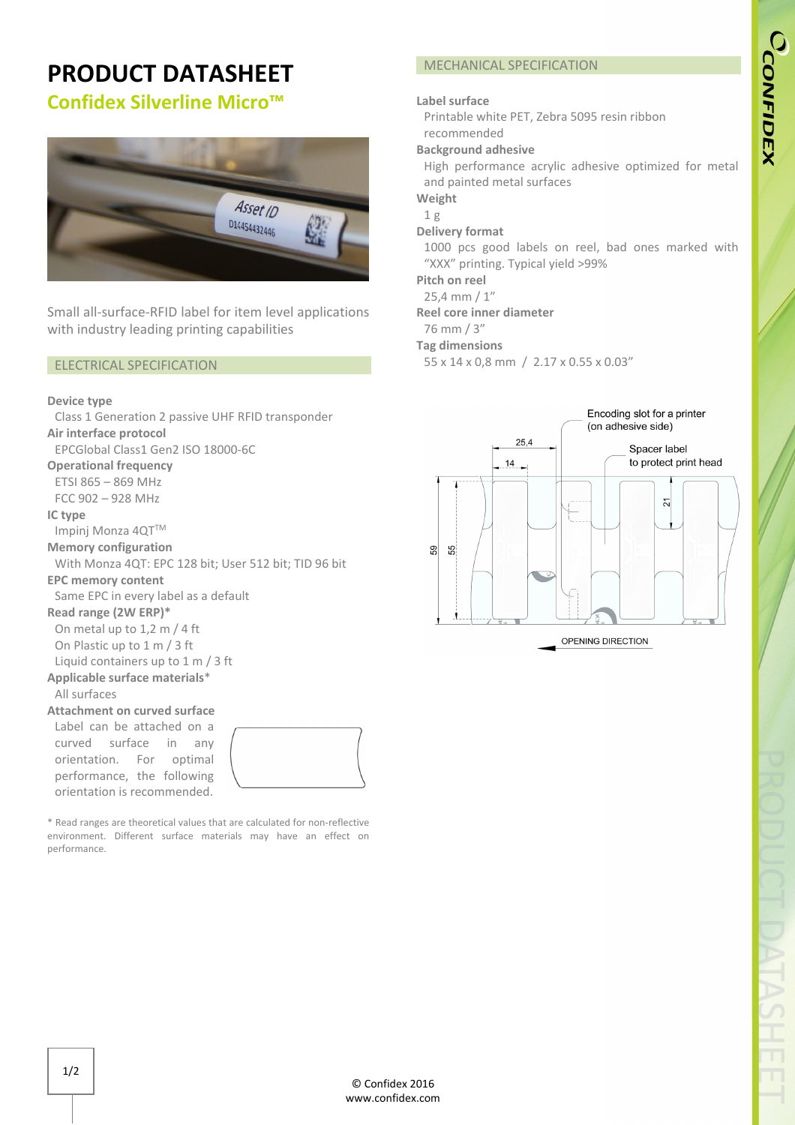# **PRODUCT DATASHEET**

# **Confidex Silverline Micro™**



Small all-surface-RFID label for item level applications with industry leading printing capabilities

# ELECTRICAL SPECIFICATION

#### **Device type**

Class 1 Generation 2 passive UHF RFID transponder **Air interface protocol**  EPCGlobal Class1 Gen2 ISO 18000-6C **Operational frequency** ETSI 865 – 869 MHz FCC 902 – 928 MHz **IC type**  Impinj Monza 4QT™ **Memory configuration**  With Monza 4QT: EPC 128 bit; User 512 bit; TID 96 bit **EPC memory content**  Same EPC in every label as a default **Read range (2W ERP)\*** On metal up to 1,2 m / 4 ft On Plastic up to 1 m / 3 ft Liquid containers up to 1 m / 3 ft **Applicable surface materials**\* All surfaces **Attachment on curved surface** Label can be attached on a curved surface in any orientation. For optimal performance, the following orientation is recommended.

\* Read ranges are theoretical values that are calculated for non-reflective environment. Different surface materials may have an effect on performance.

# MECHANICAL SPECIFICATION

# **Label surface**

Printable white PET, Zebra 5095 resin ribbon recommended

# **Background adhesive**

High performance acrylic adhesive optimized for metal and painted metal surfaces

**Weight**

#### 1 g **Delivery format**

1000 pcs good labels on reel, bad ones marked with "XXX" printing. Typical yield >99%

**Pitch on reel**

25,4 mm / 1"

# **Reel core inner diameter**

76 mm / 3"

# **Tag dimensions**

55 x 14 x 0,8 mm / 2.17 x 0.55 x 0.03"